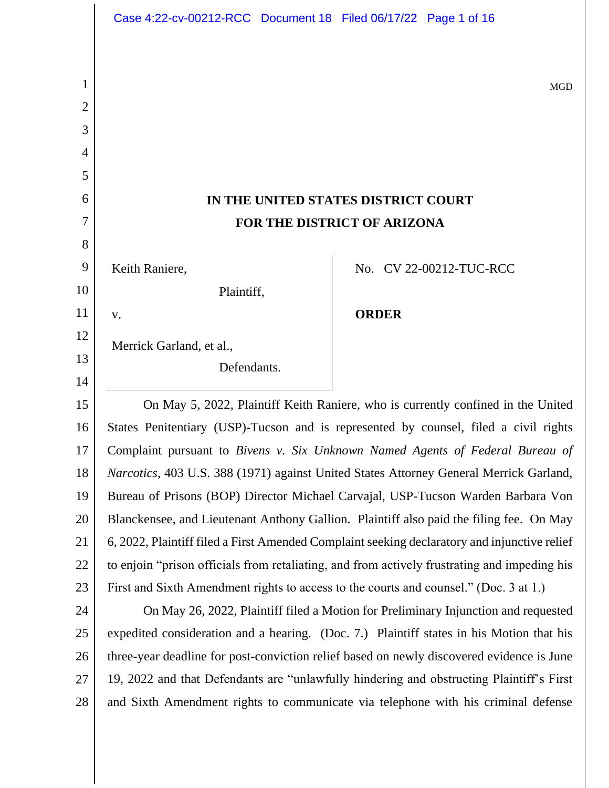|                | Case 4:22-cv-00212-RCC Document 18 Filed 06/17/22 Page 1 of 16                                                                                                              |              |                         |
|----------------|-----------------------------------------------------------------------------------------------------------------------------------------------------------------------------|--------------|-------------------------|
|                |                                                                                                                                                                             |              |                         |
| 1              |                                                                                                                                                                             |              |                         |
| $\overline{2}$ |                                                                                                                                                                             |              | <b>MGD</b>              |
| 3              |                                                                                                                                                                             |              |                         |
| 4              |                                                                                                                                                                             |              |                         |
| 5              |                                                                                                                                                                             |              |                         |
| 6              | IN THE UNITED STATES DISTRICT COURT                                                                                                                                         |              |                         |
| 7              | FOR THE DISTRICT OF ARIZONA                                                                                                                                                 |              |                         |
| 8              |                                                                                                                                                                             |              |                         |
| 9              | Keith Raniere,                                                                                                                                                              |              | No. CV 22-00212-TUC-RCC |
| 10             | Plaintiff,                                                                                                                                                                  |              |                         |
| 11             | V.                                                                                                                                                                          | <b>ORDER</b> |                         |
| 12             | Merrick Garland, et al.,                                                                                                                                                    |              |                         |
| 13             | Defendants.                                                                                                                                                                 |              |                         |
| 14             |                                                                                                                                                                             |              |                         |
| 15             | On May 5, 2022, Plaintiff Keith Raniere, who is currently confined in the United                                                                                            |              |                         |
| 16             | States Penitentiary (USP)-Tucson and is represented by counsel, filed a civil rights                                                                                        |              |                         |
| 17             | Complaint pursuant to Bivens v. Six Unknown Named Agents of Federal Bureau of                                                                                               |              |                         |
| 18             | <i>Narcotics</i> , 403 U.S. 388 (1971) against United States Attorney General Merrick Garland,                                                                              |              |                         |
| 19             | Bureau of Prisons (BOP) Director Michael Carvajal, USP-Tucson Warden Barbara Von                                                                                            |              |                         |
| 20             | Blanckensee, and Lieutenant Anthony Gallion. Plaintiff also paid the filing fee. On May                                                                                     |              |                         |
| 21             | 6, 2022, Plaintiff filed a First Amended Complaint seeking declaratory and injunctive relief                                                                                |              |                         |
| 22             | to enjoin "prison officials from retaliating, and from actively frustrating and impeding his                                                                                |              |                         |
| 23<br>24       | First and Sixth Amendment rights to access to the courts and counsel." (Doc. 3 at 1.)<br>On May 26, 2022, Plaintiff filed a Motion for Preliminary Injunction and requested |              |                         |
| 25             | expedited consideration and a hearing. (Doc. 7.) Plaintiff states in his Motion that his                                                                                    |              |                         |
| 26             | three-year deadline for post-conviction relief based on newly discovered evidence is June                                                                                   |              |                         |
| 27             | 19, 2022 and that Defendants are "unlawfully hindering and obstructing Plaintiff's First                                                                                    |              |                         |
| 28             | and Sixth Amendment rights to communicate via telephone with his criminal defense                                                                                           |              |                         |
|                |                                                                                                                                                                             |              |                         |
|                |                                                                                                                                                                             |              |                         |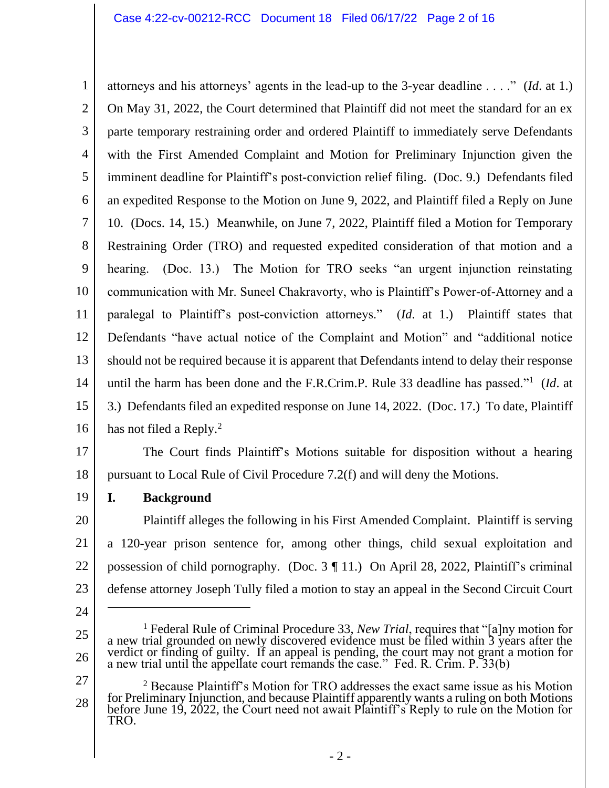1 2 3 4 5 6 7 8 9 10 11 12 13 14 15 16 attorneys and his attorneys' agents in the lead-up to the 3-year deadline . . . ." (*Id*. at 1.) On May 31, 2022, the Court determined that Plaintiff did not meet the standard for an ex parte temporary restraining order and ordered Plaintiff to immediately serve Defendants with the First Amended Complaint and Motion for Preliminary Injunction given the imminent deadline for Plaintiff's post-conviction relief filing. (Doc. 9.) Defendants filed an expedited Response to the Motion on June 9, 2022, and Plaintiff filed a Reply on June 10. (Docs. 14, 15.) Meanwhile, on June 7, 2022, Plaintiff filed a Motion for Temporary Restraining Order (TRO) and requested expedited consideration of that motion and a hearing. (Doc. 13.) The Motion for TRO seeks "an urgent injunction reinstating communication with Mr. Suneel Chakravorty, who is Plaintiff's Power-of-Attorney and a paralegal to Plaintiff's post-conviction attorneys." (*Id*. at 1.) Plaintiff states that Defendants "have actual notice of the Complaint and Motion" and "additional notice should not be required because it is apparent that Defendants intend to delay their response until the harm has been done and the F.R.Crim.P. Rule 33 deadline has passed."<sup>1</sup> (*Id*. at 3.) Defendants filed an expedited response on June 14, 2022. (Doc. 17.) To date, Plaintiff has not filed a Reply.<sup>2</sup>

17

18 The Court finds Plaintiff's Motions suitable for disposition without a hearing pursuant to Local Rule of Civil Procedure 7.2(f) and will deny the Motions.

19 **I. Background**

20 21 22 23 Plaintiff alleges the following in his First Amended Complaint. Plaintiff is serving a 120-year prison sentence for, among other things, child sexual exploitation and possession of child pornography. (Doc. 3 ¶ 11.) On April 28, 2022, Plaintiff's criminal defense attorney Joseph Tully filed a motion to stay an appeal in the Second Circuit Court

- 24
- 25

<sup>&</sup>lt;sup>1</sup> Federal Rule of Criminal Procedure 33, *New Trial*, requires that "[a]ny motion for a new trial grounded on newly discovered evidence must be filed within 3 years after the verdict or finding of guilty. If an appeal is pending, the court may not grant a motion for a new trial until the appellate court remands the case." Fed. R. Crim. P. 33(b)

<sup>27</sup> 28  $2$  Because Plaintiff's Motion for TRO addresses the exact same issue as his Motion for Preliminary Injunction, and because Plaintiff apparently wants a ruling on both Motions before June 19, 2022, the Court need not await Plaintiff's Reply to rule on the Motion for TRO.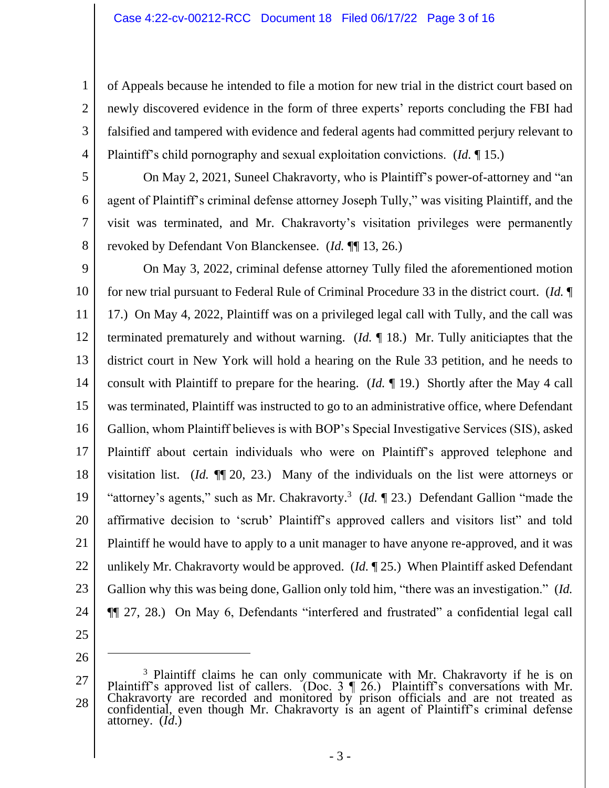of Appeals because he intended to file a motion for new trial in the district court based on newly discovered evidence in the form of three experts' reports concluding the FBI had falsified and tampered with evidence and federal agents had committed perjury relevant to Plaintiff's child pornography and sexual exploitation convictions. (*Id.* ¶ 15.)

5 6

7

8

1

2

3

4

On May 2, 2021, Suneel Chakravorty, who is Plaintiff's power-of-attorney and "an agent of Plaintiff's criminal defense attorney Joseph Tully," was visiting Plaintiff, and the visit was terminated, and Mr. Chakravorty's visitation privileges were permanently revoked by Defendant Von Blanckensee. (*Id.* ¶¶ 13, 26.)

9 10 11 12 13 14 15 16 17 18 19 20 21 22 23 24 On May 3, 2022, criminal defense attorney Tully filed the aforementioned motion for new trial pursuant to Federal Rule of Criminal Procedure 33 in the district court. (*Id.* ¶ 17.) On May 4, 2022, Plaintiff was on a privileged legal call with Tully, and the call was terminated prematurely and without warning. (*Id.* ¶ 18.) Mr. Tully aniticiaptes that the district court in New York will hold a hearing on the Rule 33 petition, and he needs to consult with Plaintiff to prepare for the hearing. (*Id.* ¶ 19.) Shortly after the May 4 call was terminated, Plaintiff was instructed to go to an administrative office, where Defendant Gallion, whom Plaintiff believes is with BOP's Special Investigative Services (SIS), asked Plaintiff about certain individuals who were on Plaintiff's approved telephone and visitation list. (*Id.* ¶¶ 20, 23.) Many of the individuals on the list were attorneys or "attorney's agents," such as Mr. Chakravorty.<sup>3</sup> (*Id.* 123.) Defendant Gallion "made the affirmative decision to 'scrub' Plaintiff's approved callers and visitors list" and told Plaintiff he would have to apply to a unit manager to have anyone re-approved, and it was unlikely Mr. Chakravorty would be approved. (*Id.* ¶ 25.) When Plaintiff asked Defendant Gallion why this was being done, Gallion only told him, "there was an investigation." (*Id.* ¶¶ 27, 28.) On May 6, Defendants "interfered and frustrated" a confidential legal call

25

<sup>27</sup> 28  $3$  Plaintiff claims he can only communicate with Mr. Chakravorty if he is on Plaintiff's approved list of callers. (Doc.  $3 \nvert 26$ .) Plaintiff's conversations with Mr. Chakravorty are recorded and monitored by prison officials and are not treated as confidential, even though Mr. Chakravorty is an agent of Plaintiff's criminal defense attorney. (*Id*.)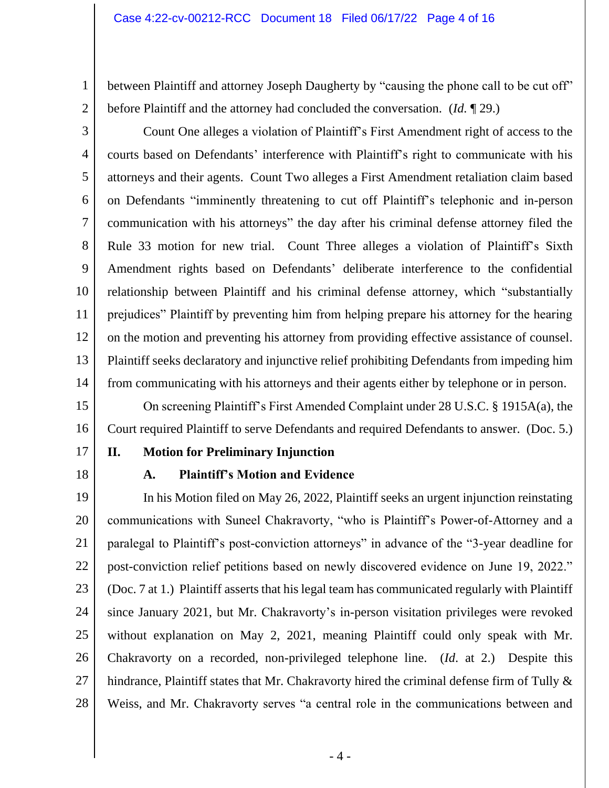between Plaintiff and attorney Joseph Daugherty by "causing the phone call to be cut off" before Plaintiff and the attorney had concluded the conversation. (*Id.* ¶ 29.)

2

1

3 4 5 6 7 8 9 10 11 12 13 14 Count One alleges a violation of Plaintiff's First Amendment right of access to the courts based on Defendants' interference with Plaintiff's right to communicate with his attorneys and their agents. Count Two alleges a First Amendment retaliation claim based on Defendants "imminently threatening to cut off Plaintiff's telephonic and in-person communication with his attorneys" the day after his criminal defense attorney filed the Rule 33 motion for new trial. Count Three alleges a violation of Plaintiff's Sixth Amendment rights based on Defendants' deliberate interference to the confidential relationship between Plaintiff and his criminal defense attorney, which "substantially prejudices" Plaintiff by preventing him from helping prepare his attorney for the hearing on the motion and preventing his attorney from providing effective assistance of counsel. Plaintiff seeks declaratory and injunctive relief prohibiting Defendants from impeding him from communicating with his attorneys and their agents either by telephone or in person.

15 16 On screening Plaintiff's First Amended Complaint under 28 U.S.C. § 1915A(a), the Court required Plaintiff to serve Defendants and required Defendants to answer. (Doc. 5.)

- 17
- 18

#### **II. Motion for Preliminary Injunction**

## **A. Plaintiff's Motion and Evidence**

19 20 21 22 23 24 25 26 27 28 In his Motion filed on May 26, 2022, Plaintiff seeks an urgent injunction reinstating communications with Suneel Chakravorty, "who is Plaintiff's Power-of-Attorney and a paralegal to Plaintiff's post-conviction attorneys" in advance of the "3-year deadline for post-conviction relief petitions based on newly discovered evidence on June 19, 2022." (Doc. 7 at 1.) Plaintiff asserts that his legal team has communicated regularly with Plaintiff since January 2021, but Mr. Chakravorty's in-person visitation privileges were revoked without explanation on May 2, 2021, meaning Plaintiff could only speak with Mr. Chakravorty on a recorded, non-privileged telephone line. (*Id*. at 2.) Despite this hindrance, Plaintiff states that Mr. Chakravorty hired the criminal defense firm of Tully & Weiss, and Mr. Chakravorty serves "a central role in the communications between and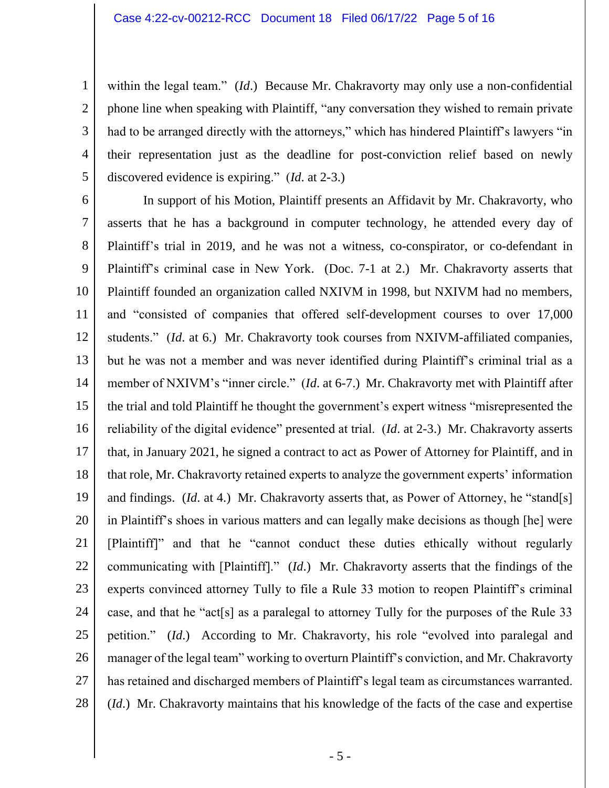within the legal team." *(Id.)* Because Mr. Chakravorty may only use a non-confidential phone line when speaking with Plaintiff, "any conversation they wished to remain private had to be arranged directly with the attorneys," which has hindered Plaintiff's lawyers "in their representation just as the deadline for post-conviction relief based on newly discovered evidence is expiring." (*Id*. at 2-3.)

5

1

2

3

4

6 7 8 9 10 11 12 13 14 15 16 17 18 19 20 21 22 23 24 25 26 27 28 In support of his Motion, Plaintiff presents an Affidavit by Mr. Chakravorty, who asserts that he has a background in computer technology, he attended every day of Plaintiff's trial in 2019, and he was not a witness, co-conspirator, or co-defendant in Plaintiff's criminal case in New York. (Doc. 7-1 at 2.) Mr. Chakravorty asserts that Plaintiff founded an organization called NXIVM in 1998, but NXIVM had no members, and "consisted of companies that offered self-development courses to over 17,000 students." (*Id*. at 6.) Mr. Chakravorty took courses from NXIVM-affiliated companies, but he was not a member and was never identified during Plaintiff's criminal trial as a member of NXIVM's "inner circle." (*Id*. at 6-7.) Mr. Chakravorty met with Plaintiff after the trial and told Plaintiff he thought the government's expert witness "misrepresented the reliability of the digital evidence" presented at trial. (*Id*. at 2-3.) Mr. Chakravorty asserts that, in January 2021, he signed a contract to act as Power of Attorney for Plaintiff, and in that role, Mr. Chakravorty retained experts to analyze the government experts' information and findings. *(Id.* at 4.) Mr. Chakravorty asserts that, as Power of Attorney, he "stand[s] in Plaintiff's shoes in various matters and can legally make decisions as though [he] were [Plaintiff]" and that he "cannot conduct these duties ethically without regularly communicating with [Plaintiff]." (*Id*.) Mr. Chakravorty asserts that the findings of the experts convinced attorney Tully to file a Rule 33 motion to reopen Plaintiff's criminal case, and that he "act[s] as a paralegal to attorney Tully for the purposes of the Rule 33 petition." (*Id*.) According to Mr. Chakravorty, his role "evolved into paralegal and manager of the legal team" working to overturn Plaintiff's conviction, and Mr. Chakravorty has retained and discharged members of Plaintiff's legal team as circumstances warranted. (*Id*.) Mr. Chakravorty maintains that his knowledge of the facts of the case and expertise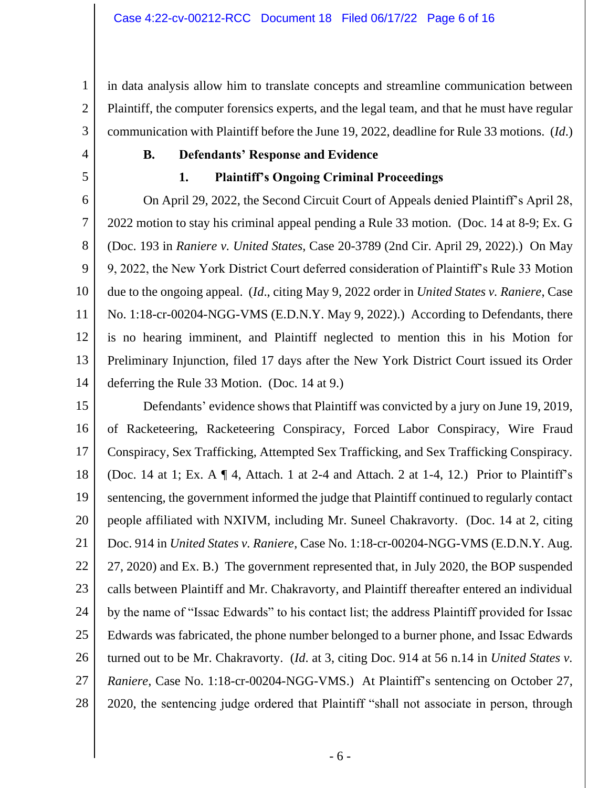in data analysis allow him to translate concepts and streamline communication between Plaintiff, the computer forensics experts, and the legal team, and that he must have regular communication with Plaintiff before the June 19, 2022, deadline for Rule 33 motions. (*Id*.)

1

2

3

4

5

# **B. Defendants' Response and Evidence**

# **1. Plaintiff's Ongoing Criminal Proceedings**

6 7 8 9 10 11 12 13 14 On April 29, 2022, the Second Circuit Court of Appeals denied Plaintiff's April 28, 2022 motion to stay his criminal appeal pending a Rule 33 motion. (Doc. 14 at 8-9; Ex. G (Doc. 193 in *Raniere v. United States*, Case 20-3789 (2nd Cir. April 29, 2022).) On May 9, 2022, the New York District Court deferred consideration of Plaintiff's Rule 33 Motion due to the ongoing appeal. (*Id*., citing May 9, 2022 order in *United States v. Raniere*, Case No. 1:18-cr-00204-NGG-VMS (E.D.N.Y. May 9, 2022).) According to Defendants, there is no hearing imminent, and Plaintiff neglected to mention this in his Motion for Preliminary Injunction, filed 17 days after the New York District Court issued its Order deferring the Rule 33 Motion. (Doc. 14 at 9.)

15 16 17 18 19 20 21 22 23 24 25 26 27 28 Defendants' evidence shows that Plaintiff was convicted by a jury on June 19, 2019, of Racketeering, Racketeering Conspiracy, Forced Labor Conspiracy, Wire Fraud Conspiracy, Sex Trafficking, Attempted Sex Trafficking, and Sex Trafficking Conspiracy. (Doc. 14 at 1; Ex. A  $\P$  4, Attach. 1 at 2-4 and Attach. 2 at 1-4, 12.) Prior to Plaintiff's sentencing, the government informed the judge that Plaintiff continued to regularly contact people affiliated with NXIVM, including Mr. Suneel Chakravorty. (Doc. 14 at 2, citing Doc. 914 in *United States v. Raniere*, Case No. 1:18-cr-00204-NGG-VMS (E.D.N.Y. Aug. 27, 2020) and Ex. B.) The government represented that, in July 2020, the BOP suspended calls between Plaintiff and Mr. Chakravorty, and Plaintiff thereafter entered an individual by the name of "Issac Edwards" to his contact list; the address Plaintiff provided for Issac Edwards was fabricated, the phone number belonged to a burner phone, and Issac Edwards turned out to be Mr. Chakravorty. (*Id*. at 3, citing Doc. 914 at 56 n.14 in *United States v. Raniere*, Case No. 1:18-cr-00204-NGG-VMS.) At Plaintiff's sentencing on October 27, 2020, the sentencing judge ordered that Plaintiff "shall not associate in person, through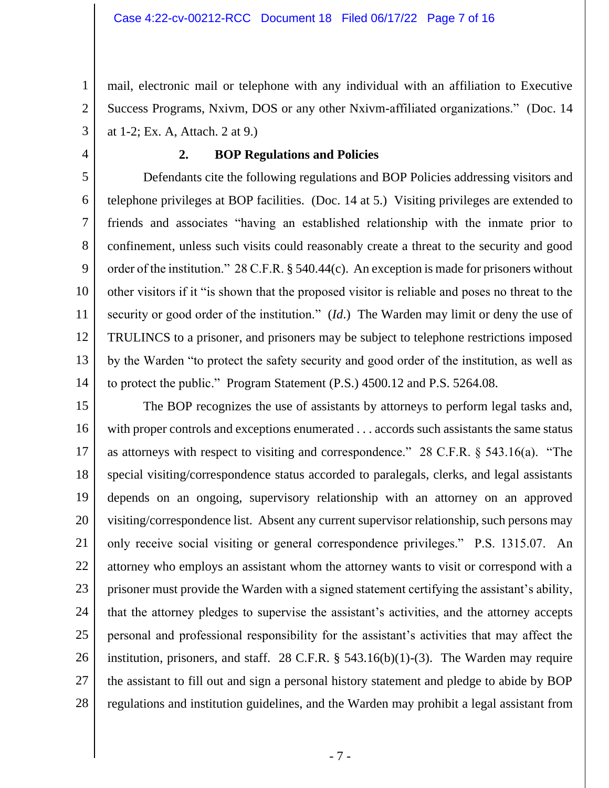mail, electronic mail or telephone with any individual with an affiliation to Executive Success Programs, Nxivm, DOS or any other Nxivm-affiliated organizations." (Doc. 14 at 1-2; Ex. A, Attach. 2 at 9.)

4

1

2

3

#### **2. BOP Regulations and Policies**

5 6 7 8 9 10 11 12 13 14 Defendants cite the following regulations and BOP Policies addressing visitors and telephone privileges at BOP facilities. (Doc. 14 at 5.) Visiting privileges are extended to friends and associates "having an established relationship with the inmate prior to confinement, unless such visits could reasonably create a threat to the security and good order of the institution." 28 C.F.R. § 540.44(c). An exception is made for prisoners without other visitors if it "is shown that the proposed visitor is reliable and poses no threat to the security or good order of the institution." (*Id*.) The Warden may limit or deny the use of TRULINCS to a prisoner, and prisoners may be subject to telephone restrictions imposed by the Warden "to protect the safety security and good order of the institution, as well as to protect the public." Program Statement (P.S.) 4500.12 and P.S. 5264.08.

15 16 17 18 19 20 21 22 23 24 25 26 27 28 The BOP recognizes the use of assistants by attorneys to perform legal tasks and, with proper controls and exceptions enumerated . . . accords such assistants the same status as attorneys with respect to visiting and correspondence." 28 C.F.R. § 543.16(a). "The special visiting/correspondence status accorded to paralegals, clerks, and legal assistants depends on an ongoing, supervisory relationship with an attorney on an approved visiting/correspondence list. Absent any current supervisor relationship, such persons may only receive social visiting or general correspondence privileges." P.S. 1315.07. An attorney who employs an assistant whom the attorney wants to visit or correspond with a prisoner must provide the Warden with a signed statement certifying the assistant's ability, that the attorney pledges to supervise the assistant's activities, and the attorney accepts personal and professional responsibility for the assistant's activities that may affect the institution, prisoners, and staff. 28 C.F.R.  $\S$  543.16(b)(1)-(3). The Warden may require the assistant to fill out and sign a personal history statement and pledge to abide by BOP regulations and institution guidelines, and the Warden may prohibit a legal assistant from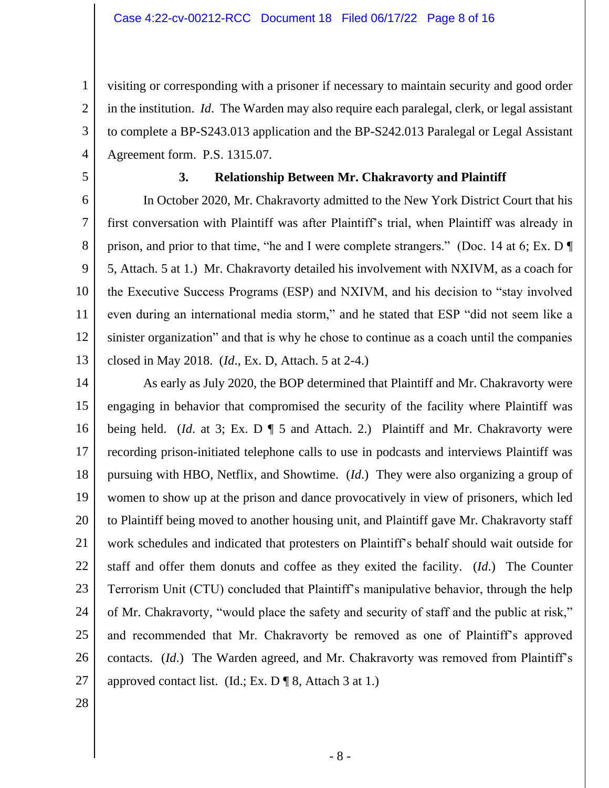visiting or corresponding with a prisoner if necessary to maintain security and good order in the institution. *Id*. The Warden may also require each paralegal, clerk, or legal assistant to complete a BP-S243.013 application and the BP-S242.013 Paralegal or Legal Assistant Agreement form. P.S. 1315.07.

5

1

2

3

4

## **3. Relationship Between Mr. Chakravorty and Plaintiff**

6 7 8 9 10 11 12 13 In October 2020, Mr. Chakravorty admitted to the New York District Court that his first conversation with Plaintiff was after Plaintiff's trial, when Plaintiff was already in prison, and prior to that time, "he and I were complete strangers." (Doc. 14 at 6; Ex. D ¶ 5, Attach. 5 at 1.) Mr. Chakravorty detailed his involvement with NXIVM, as a coach for the Executive Success Programs (ESP) and NXIVM, and his decision to "stay involved even during an international media storm," and he stated that ESP "did not seem like a sinister organization" and that is why he chose to continue as a coach until the companies closed in May 2018. (*Id*., Ex. D, Attach. 5 at 2-4.)

14 15 16 17 18 19 20 21 22 23 24 25 26 27 As early as July 2020, the BOP determined that Plaintiff and Mr. Chakravorty were engaging in behavior that compromised the security of the facility where Plaintiff was being held. (*Id*. at 3; Ex. D ¶ 5 and Attach. 2.) Plaintiff and Mr. Chakravorty were recording prison-initiated telephone calls to use in podcasts and interviews Plaintiff was pursuing with HBO, Netflix, and Showtime. (*Id*.) They were also organizing a group of women to show up at the prison and dance provocatively in view of prisoners, which led to Plaintiff being moved to another housing unit, and Plaintiff gave Mr. Chakravorty staff work schedules and indicated that protesters on Plaintiff's behalf should wait outside for staff and offer them donuts and coffee as they exited the facility. (*Id*.) The Counter Terrorism Unit (CTU) concluded that Plaintiff's manipulative behavior, through the help of Mr. Chakravorty, "would place the safety and security of staff and the public at risk," and recommended that Mr. Chakravorty be removed as one of Plaintiff's approved contacts. (*Id*.) The Warden agreed, and Mr. Chakravorty was removed from Plaintiff's approved contact list. (Id.; Ex.  $D \P 8$ , Attach 3 at 1.)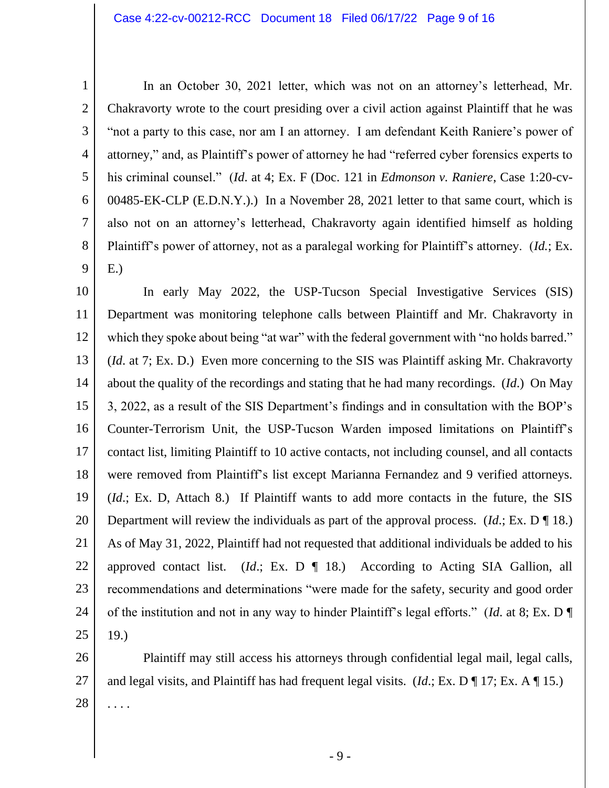1 2 3 4 5 6 7 8 9 In an October 30, 2021 letter, which was not on an attorney's letterhead, Mr. Chakravorty wrote to the court presiding over a civil action against Plaintiff that he was "not a party to this case, nor am I an attorney. I am defendant Keith Raniere's power of attorney," and, as Plaintiff's power of attorney he had "referred cyber forensics experts to his criminal counsel." (*Id*. at 4; Ex. F (Doc. 121 in *Edmonson v. Raniere*, Case 1:20-cv-00485-EK-CLP (E.D.N.Y.).) In a November 28, 2021 letter to that same court, which is also not on an attorney's letterhead, Chakravorty again identified himself as holding Plaintiff's power of attorney, not as a paralegal working for Plaintiff's attorney. (*Id.*; Ex. E.)

10 11 12 13 14 15 16 17 18 19 20 21 22 23 24 25 In early May 2022, the USP-Tucson Special Investigative Services (SIS) Department was monitoring telephone calls between Plaintiff and Mr. Chakravorty in which they spoke about being "at war" with the federal government with "no holds barred." (*Id*. at 7; Ex. D.) Even more concerning to the SIS was Plaintiff asking Mr. Chakravorty about the quality of the recordings and stating that he had many recordings. (*Id*.) On May 3, 2022, as a result of the SIS Department's findings and in consultation with the BOP's Counter-Terrorism Unit, the USP-Tucson Warden imposed limitations on Plaintiff's contact list, limiting Plaintiff to 10 active contacts, not including counsel, and all contacts were removed from Plaintiff's list except Marianna Fernandez and 9 verified attorneys. (*Id*.; Ex. D, Attach 8.) If Plaintiff wants to add more contacts in the future, the SIS Department will review the individuals as part of the approval process. (*Id*.; Ex. D ¶ 18.) As of May 31, 2022, Plaintiff had not requested that additional individuals be added to his approved contact list. (*Id*.; Ex. D ¶ 18.) According to Acting SIA Gallion, all recommendations and determinations "were made for the safety, security and good order of the institution and not in any way to hinder Plaintiff's legal efforts." (*Id*. at 8; Ex. D ¶ 19.)

26 27 28 Plaintiff may still access his attorneys through confidential legal mail, legal calls, and legal visits, and Plaintiff has had frequent legal visits. (*Id*.; Ex. D ¶ 17; Ex. A ¶ 15.) . . . .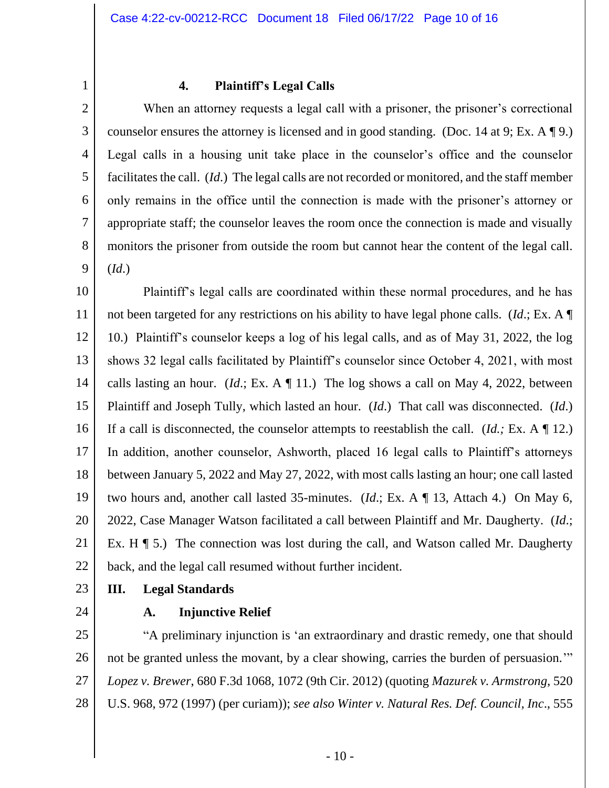1

#### **4. Plaintiff's Legal Calls**

2 3 4 5 6 7 8 9 When an attorney requests a legal call with a prisoner, the prisoner's correctional counselor ensures the attorney is licensed and in good standing. (Doc. 14 at 9; Ex. A ¶ 9.) Legal calls in a housing unit take place in the counselor's office and the counselor facilitates the call. (*Id*.) The legal calls are not recorded or monitored, and the staff member only remains in the office until the connection is made with the prisoner's attorney or appropriate staff; the counselor leaves the room once the connection is made and visually monitors the prisoner from outside the room but cannot hear the content of the legal call. (*Id*.)

10 11 12 13 14 15 16 17 18 19 20 21 22 Plaintiff's legal calls are coordinated within these normal procedures, and he has not been targeted for any restrictions on his ability to have legal phone calls. (*Id*.; Ex. A ¶ 10.) Plaintiff's counselor keeps a log of his legal calls, and as of May 31, 2022, the log shows 32 legal calls facilitated by Plaintiff's counselor since October 4, 2021, with most calls lasting an hour. (*Id.*; Ex. A  $\P$  11.) The log shows a call on May 4, 2022, between Plaintiff and Joseph Tully, which lasted an hour. (*Id*.) That call was disconnected. (*Id*.) If a call is disconnected, the counselor attempts to reestablish the call. (*Id.;* Ex. A ¶ 12.) In addition, another counselor, Ashworth, placed 16 legal calls to Plaintiff's attorneys between January 5, 2022 and May 27, 2022, with most calls lasting an hour; one call lasted two hours and, another call lasted 35-minutes. (*Id*.; Ex. A ¶ 13, Attach 4.) On May 6, 2022, Case Manager Watson facilitated a call between Plaintiff and Mr. Daugherty. (*Id*.; Ex. H  $\P$  5.) The connection was lost during the call, and Watson called Mr. Daugherty back, and the legal call resumed without further incident.

23

## **III. Legal Standards**

24

#### **A. Injunctive Relief**

25 26 27 28 "A preliminary injunction is 'an extraordinary and drastic remedy, one that should not be granted unless the movant, by a clear showing, carries the burden of persuasion.'" *Lopez v. Brewer*, 680 F.3d 1068, 1072 (9th Cir. 2012) (quoting *Mazurek v. Armstrong*, 520 U.S. 968, 972 (1997) (per curiam)); *see also Winter v. Natural Res. Def. Council, Inc*., 555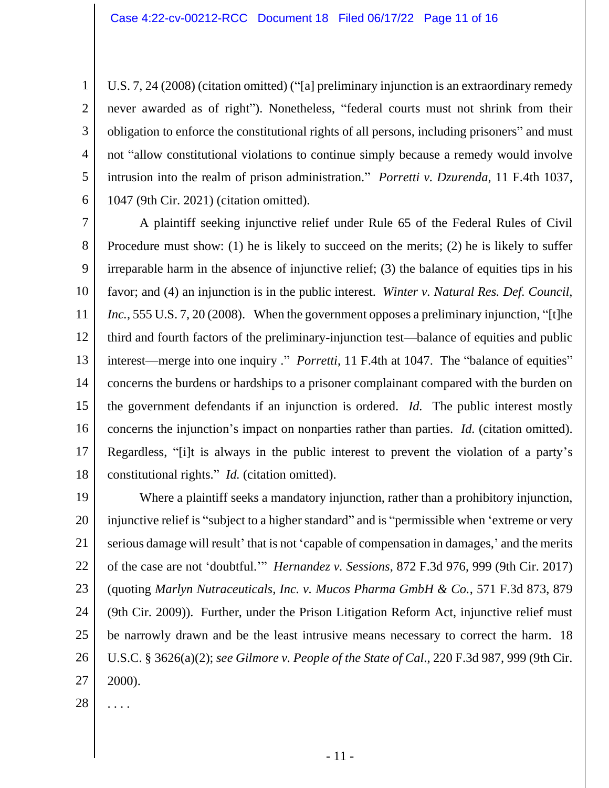U.S. 7, 24 (2008) (citation omitted) ("[a] preliminary injunction is an extraordinary remedy never awarded as of right"). Nonetheless, "federal courts must not shrink from their obligation to enforce the constitutional rights of all persons, including prisoners" and must not "allow constitutional violations to continue simply because a remedy would involve intrusion into the realm of prison administration." *Porretti v. Dzurenda*, 11 F.4th 1037, 1047 (9th Cir. 2021) (citation omitted).

7 8 9 10 11 12 13 14 15 16 17 18 A plaintiff seeking injunctive relief under Rule 65 of the Federal Rules of Civil Procedure must show: (1) he is likely to succeed on the merits; (2) he is likely to suffer irreparable harm in the absence of injunctive relief; (3) the balance of equities tips in his favor; and (4) an injunction is in the public interest. *Winter v. Natural Res. Def. Council, Inc.*, 555 U.S. 7, 20 (2008). When the government opposes a preliminary injunction, "[t]he third and fourth factors of the preliminary-injunction test—balance of equities and public interest—merge into one inquiry ." *Porretti*, 11 F.4th at 1047. The "balance of equities" concerns the burdens or hardships to a prisoner complainant compared with the burden on the government defendants if an injunction is ordered. *Id.* The public interest mostly concerns the injunction's impact on nonparties rather than parties. *Id.* (citation omitted). Regardless, "[i]t is always in the public interest to prevent the violation of a party's constitutional rights." *Id.* (citation omitted).

19 20 21 22 23 24 25 26 27 Where a plaintiff seeks a mandatory injunction, rather than a prohibitory injunction, injunctive relief is "subject to a higher standard" and is "permissible when 'extreme or very serious damage will result' that is not 'capable of compensation in damages,' and the merits of the case are not 'doubtful.'" *Hernandez v. Sessions*, 872 F.3d 976, 999 (9th Cir. 2017) (quoting *Marlyn Nutraceuticals, Inc. v. Mucos Pharma GmbH & Co.*, 571 F.3d 873, 879 (9th Cir. 2009)). Further, under the Prison Litigation Reform Act, injunctive relief must be narrowly drawn and be the least intrusive means necessary to correct the harm. 18 U.S.C. § 3626(a)(2); *see Gilmore v. People of the State of Cal*., 220 F.3d 987, 999 (9th Cir. 2000).

28 . . . .

1

2

3

4

5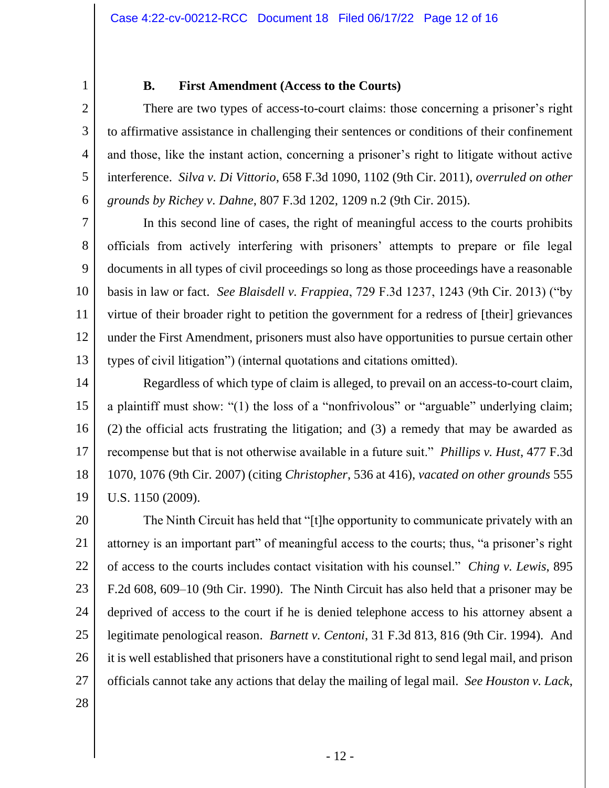1 2

3

4

5

6

# **B. First Amendment (Access to the Courts)**

There are two types of access-to-court claims: those concerning a prisoner's right to affirmative assistance in challenging their sentences or conditions of their confinement and those, like the instant action, concerning a prisoner's right to litigate without active interference. *Silva v. Di Vittorio*, 658 F.3d 1090, 1102 (9th Cir. 2011), *overruled on other grounds by Richey v. Dahne*, 807 F.3d 1202, 1209 n.2 (9th Cir. 2015).

7 8 9 10 11 12 13 In this second line of cases, the right of meaningful access to the courts prohibits officials from actively interfering with prisoners' attempts to prepare or file legal documents in all types of civil proceedings so long as those proceedings have a reasonable basis in law or fact. *See Blaisdell v. Frappiea*, 729 F.3d 1237, 1243 (9th Cir. 2013) ("by virtue of their broader right to petition the government for a redress of [their] grievances under the First Amendment, prisoners must also have opportunities to pursue certain other types of civil litigation") (internal quotations and citations omitted).

14 15 16 17 18 19 Regardless of which type of claim is alleged, to prevail on an access-to-court claim, a plaintiff must show: "(1) the loss of a "nonfrivolous" or "arguable" underlying claim; (2) the official acts frustrating the litigation; and (3) a remedy that may be awarded as recompense but that is not otherwise available in a future suit." *Phillips v. Hust*, 477 F.3d 1070, 1076 (9th Cir. 2007) (citing *Christopher*, 536 at 416), *vacated on other grounds* 555 U.S. 1150 (2009).

20 21 22 23 24 25 26 27 The Ninth Circuit has held that "[t]he opportunity to communicate privately with an attorney is an important part" of meaningful access to the courts; thus, "a prisoner's right of access to the courts includes contact visitation with his counsel." *Ching v. Lewis*, 895 F.2d 608, 609–10 (9th Cir. 1990). The Ninth Circuit has also held that a prisoner may be deprived of access to the court if he is denied telephone access to his attorney absent a legitimate penological reason. *Barnett v. Centoni*, 31 F.3d 813, 816 (9th Cir. 1994). And it is well established that prisoners have a constitutional right to send legal mail, and prison officials cannot take any actions that delay the mailing of legal mail. *See Houston v. Lack*,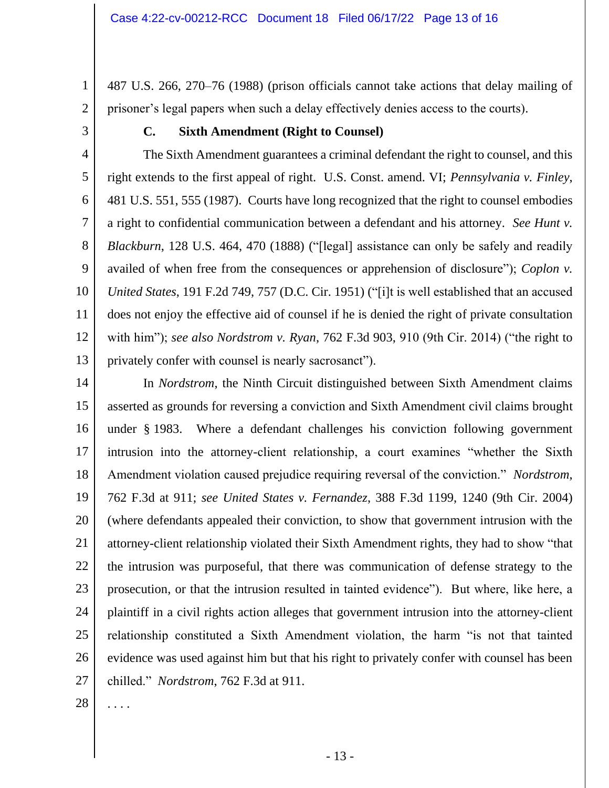487 U.S. 266, 270–76 (1988) (prison officials cannot take actions that delay mailing of prisoner's legal papers when such a delay effectively denies access to the courts).

3

1

2

## **C. Sixth Amendment (Right to Counsel)**

4 5 6 7 8 9 10 11 12 13 The Sixth Amendment guarantees a criminal defendant the right to counsel, and this right extends to the first appeal of right. U.S. Const. amend. VI; *Pennsylvania v. Finley*, 481 U.S. 551, 555 (1987). Courts have long recognized that the right to counsel embodies a right to confidential communication between a defendant and his attorney. *See Hunt v. Blackburn*, 128 U.S. 464, 470 (1888) ("[legal] assistance can only be safely and readily availed of when free from the consequences or apprehension of disclosure"); *Coplon v. United States*, 191 F.2d 749, 757 (D.C. Cir. 1951) ("[i]t is well established that an accused does not enjoy the effective aid of counsel if he is denied the right of private consultation with him"); *see also Nordstrom v. Ryan*, 762 F.3d 903, 910 (9th Cir. 2014) ("the right to privately confer with counsel is nearly sacrosanct").

14 15 16 17 18 19 20 21 22 23 24 25 26 27 In *Nordstrom*, the Ninth Circuit distinguished between Sixth Amendment claims asserted as grounds for reversing a conviction and Sixth Amendment civil claims brought under § 1983. Where a defendant challenges his conviction following government intrusion into the attorney-client relationship, a court examines "whether the Sixth Amendment violation caused prejudice requiring reversal of the conviction." *Nordstrom*, 762 F.3d at 911; *see United States v. Fernandez*, 388 F.3d 1199, 1240 (9th Cir. 2004) (where defendants appealed their conviction, to show that government intrusion with the attorney-client relationship violated their Sixth Amendment rights, they had to show "that the intrusion was purposeful, that there was communication of defense strategy to the prosecution, or that the intrusion resulted in tainted evidence"). But where, like here, a plaintiff in a civil rights action alleges that government intrusion into the attorney-client relationship constituted a Sixth Amendment violation, the harm "is not that tainted evidence was used against him but that his right to privately confer with counsel has been chilled." *Nordstrom*, 762 F.3d at 911.

28 . . . .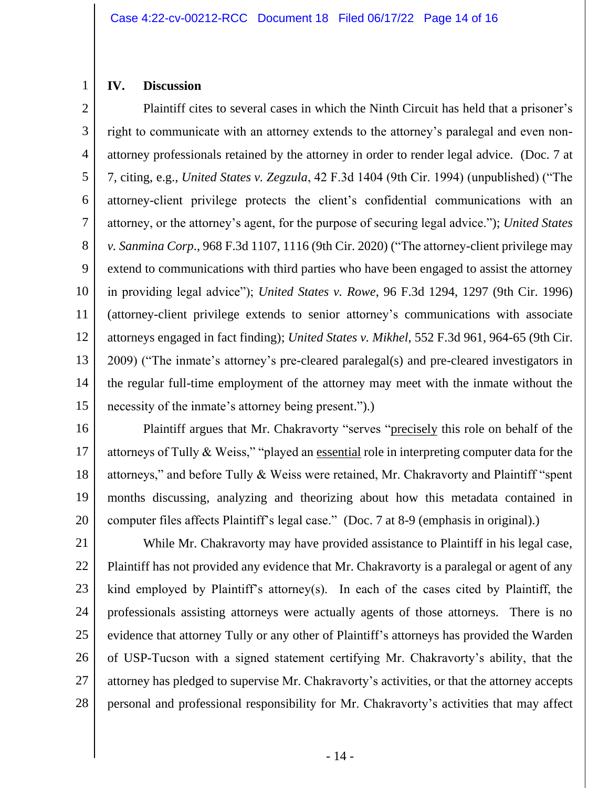#### **IV. Discussion**

1

2 3 4 5 6 7 8 9 10 11 12 13 14 15 Plaintiff cites to several cases in which the Ninth Circuit has held that a prisoner's right to communicate with an attorney extends to the attorney's paralegal and even nonattorney professionals retained by the attorney in order to render legal advice. (Doc. 7 at 7, citing, e.g., *United States v. Zegzula*, 42 F.3d 1404 (9th Cir. 1994) (unpublished) ("The attorney-client privilege protects the client's confidential communications with an attorney, or the attorney's agent, for the purpose of securing legal advice."); *United States v. Sanmina Corp*., 968 F.3d 1107, 1116 (9th Cir. 2020) ("The attorney-client privilege may extend to communications with third parties who have been engaged to assist the attorney in providing legal advice"); *United States v. Rowe*, 96 F.3d 1294, 1297 (9th Cir. 1996) (attorney-client privilege extends to senior attorney's communications with associate attorneys engaged in fact finding); *United States v. Mikhel*, 552 F.3d 961, 964-65 (9th Cir. 2009) ("The inmate's attorney's pre-cleared paralegal(s) and pre-cleared investigators in the regular full-time employment of the attorney may meet with the inmate without the necessity of the inmate's attorney being present.").)

16

17 18 19 20 Plaintiff argues that Mr. Chakravorty "serves "precisely this role on behalf of the attorneys of Tully & Weiss," "played an essential role in interpreting computer data for the attorneys," and before Tully & Weiss were retained, Mr. Chakravorty and Plaintiff "spent months discussing, analyzing and theorizing about how this metadata contained in computer files affects Plaintiff's legal case." (Doc. 7 at 8-9 (emphasis in original).)

21 22 23 24 25 26 27 28 While Mr. Chakravorty may have provided assistance to Plaintiff in his legal case, Plaintiff has not provided any evidence that Mr. Chakravorty is a paralegal or agent of any kind employed by Plaintiff's attorney(s). In each of the cases cited by Plaintiff, the professionals assisting attorneys were actually agents of those attorneys. There is no evidence that attorney Tully or any other of Plaintiff's attorneys has provided the Warden of USP-Tucson with a signed statement certifying Mr. Chakravorty's ability, that the attorney has pledged to supervise Mr. Chakravorty's activities, or that the attorney accepts personal and professional responsibility for Mr. Chakravorty's activities that may affect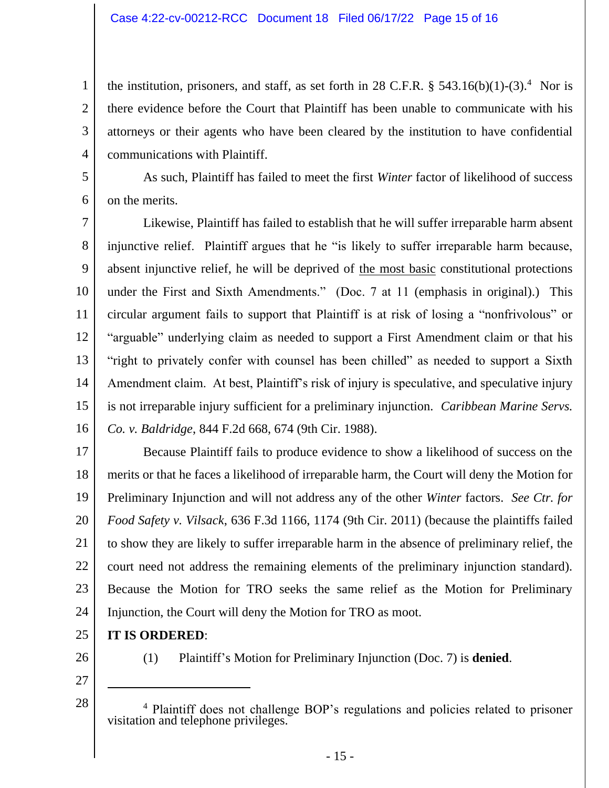the institution, prisoners, and staff, as set forth in 28 C.F.R.  $\S$  543.16(b)(1)-(3).<sup>4</sup> Nor is there evidence before the Court that Plaintiff has been unable to communicate with his attorneys or their agents who have been cleared by the institution to have confidential communications with Plaintiff.

5 6

1

2

3

4

As such, Plaintiff has failed to meet the first *Winter* factor of likelihood of success on the merits.

7 8 9 10 11 12 13 14 15 16 Likewise, Plaintiff has failed to establish that he will suffer irreparable harm absent injunctive relief. Plaintiff argues that he "is likely to suffer irreparable harm because, absent injunctive relief, he will be deprived of the most basic constitutional protections under the First and Sixth Amendments." (Doc. 7 at 11 (emphasis in original).) This circular argument fails to support that Plaintiff is at risk of losing a "nonfrivolous" or "arguable" underlying claim as needed to support a First Amendment claim or that his "right to privately confer with counsel has been chilled" as needed to support a Sixth Amendment claim. At best, Plaintiff's risk of injury is speculative, and speculative injury is not irreparable injury sufficient for a preliminary injunction. *Caribbean Marine Servs. Co. v. Baldridge*, 844 F.2d 668, 674 (9th Cir. 1988).

17 18 19 20 21 22 23 24 Because Plaintiff fails to produce evidence to show a likelihood of success on the merits or that he faces a likelihood of irreparable harm, the Court will deny the Motion for Preliminary Injunction and will not address any of the other *Winter* factors. *See Ctr. for Food Safety v. Vilsack*, 636 F.3d 1166, 1174 (9th Cir. 2011) (because the plaintiffs failed to show they are likely to suffer irreparable harm in the absence of preliminary relief, the court need not address the remaining elements of the preliminary injunction standard). Because the Motion for TRO seeks the same relief as the Motion for Preliminary Injunction, the Court will deny the Motion for TRO as moot.

- 25 **IT IS ORDERED**:
- 26

28

(1) Plaintiff's Motion for Preliminary Injunction (Doc. 7) is **denied**.

<sup>4</sup> Plaintiff does not challenge BOP's regulations and policies related to prisoner visitation and telephone privileges.